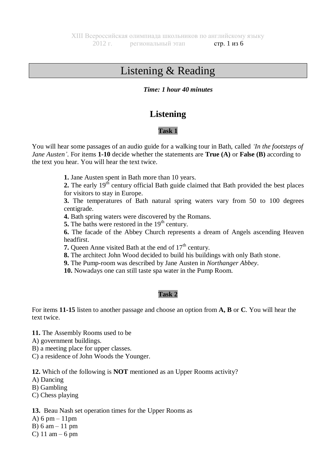# Listening & Reading

## *Time: 1 hour 40 minutes*

# **Listening**

# **Task 1**

You will hear some passages of an audio guide for a walking tour in Bath, called *'In the footsteps of Jane Austen'*. For items **1-10** decide whether the statements are **True (A)** or **False (B)** according to the text you hear. You will hear the text twice.

**1.** Jane Austen spent in Bath more than 10 years.

**2.** The early 19<sup>th</sup> century official Bath guide claimed that Bath provided the best places for visitors to stay in Europe.

**3.** The temperatures of Bath natural spring waters vary from 50 to 100 degrees centigrade.

**4.** Bath spring waters were discovered by the Romans.

**5.** The baths were restored in the  $19<sup>th</sup>$  century.

**6.** The facade of the Abbey Church represents a dream of Angels ascending Heaven headfirst.

**7.** Queen Anne visited Bath at the end of  $17<sup>th</sup>$  century.

**8.** The architect John Wood decided to build his buildings with only Bath stone.

**9.** The Pump-room was described by Jane Austen in *Northanger Abbey*.

**10.** Nowadays one can still taste spa water in the Pump Room.

# **Task 2**

For items **11-15** listen to another passage and choose an option from **A, B** or **C**. You will hear the text twice.

- **11.** The Assembly Rooms used to be
- A) government buildings.
- B) a meeting place for upper classes.
- C) a residence of John Woods the Younger.

**12.** Which of the following is **NOT** mentioned as an Upper Rooms activity?

- A) Dancing
- B) Gambling
- C) Chess playing

**13.** Beau Nash set operation times for the Upper Rooms as

- A)  $6 \text{ pm} 11 \text{ pm}$
- B) 6 am 11 pm
- C)  $11 \text{ am} 6 \text{ pm}$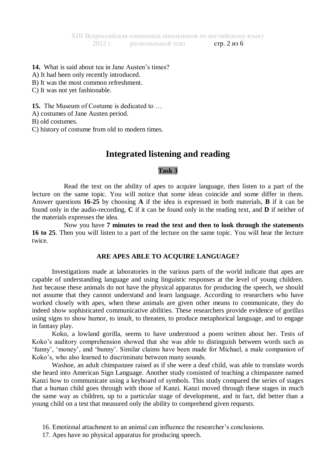XIII Всероссийская олимпиада школьников по английскому языку 2012 г. региональный этап стр. 2 из 6

- **14.** What is said about tea in Jane Austen's times?
- A) It had been only recently introduced.
- B) It was the most common refreshment.
- C) It was not yet fashionable.

**15.** The Museum of Costume is dedicated to …

A) costumes of Jane Austen period.

B) old costumes.

C) history of costume from old to modern times.

# **Integrated listening and reading**

### **Task 3**

Read the text on the ability of apes to acquire language, then listen to a part of the lecture on the same topic. You will notice that some ideas coincide and some differ in them. Answer questions **16-25** by choosing **A** if the idea is expressed in both materials, **B** if it can be found only in the audio-recording, **C** if it can be found only in the reading text, and **D** if neither of the materials expresses the idea.

Now you have **7 minutes to read the text and then to look through the statements 16 to 25**. Then you will listen to a part of the lecture on the same topic. You will hear the lecture twice.

#### **ARE APES ABLE TO ACQUIRE LANGUAGE?**

Investigations made at laboratories in the various parts of the world indicate that apes are capable of understanding language and using linguistic responses at the level of young children. Just because these animals do not have the physical apparatus for producing the speech, we should not assume that they cannot understand and learn language. According to researchers who have worked closely with apes, when these animals are given other means to communicate, they do indeed show sophisticated communicative abilities. These researchers provide evidence of gorillas using signs to show humor, to insult, to threaten, to produce metaphorical language, and to engage in fantasy play.

Koko, a lowland gorilla, seems to have understood a poem written about her. Tests of Koko's auditory comprehension showed that she was able to distinguish between words such as 'funny', 'money', and 'bunny'. Similar claims have been made for Michael, a male companion of Koko's, who also learned to discriminate between many sounds.

Washoe, an adult chimpanzee raised as if she were a deaf child, was able to translate words she heard into American Sign Language. Another study consisted of teaching a chimpanzee named Kanzi how to communicate using a keyboard of symbols. This study compared the series of stages that a human child goes through with those of Kanzi. Kanzi moved through these stages in much the same way as children, up to a particular stage of development, and in fact, did better than a young child on a test that measured only the ability to comprehend given requests.

- 16. Emotional attachment to an animal can influence the researcher's conclusions.
- 17. Apes have no physical apparatus for producing speech.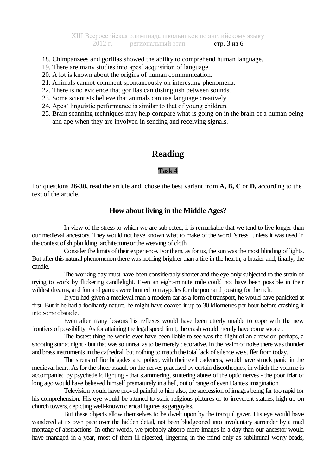XIII Всероссийская олимпиада школьников по английскому языку 2012 г. региональный этап стр. 3 из 6

- 18. Chimpanzees and gorillas showed the ability to comprehend human language.
- 19. There are many studies into apes' acquisition of language.
- 20. A lot is known about the origins of human communication.
- 21. Animals cannot comment spontaneously on interesting phenomena.
- 22. There is no evidence that gorillas can distinguish between sounds.
- 23. Some scientists believe that animals can use language creatively.
- 24. Apes' linguistic performance is similar to that of young children.
- 25. Brain scanning techniques may help compare what is going on in the brain of a human being and ape when they are involved in sending and receiving signals.

# **Reading**

#### **Task 4**

For questions **26-30,** read the article and chose the best variant from **A, B, C** or **D,** according to the text of the article.

### **How about living in the Middle Ages?**

In view of the stress to which we are subjected, it is remarkable that we tend to live longer than our medieval ancestors. They would not have known what to make of the word "stress" unless it was used in the context of shipbuilding, architecture or the weaving of cloth.

Consider the limits of their experience. For them, as for us, the sun was the most blinding of lights. But after this natural phenomenon there was nothing brighter than a fire in the hearth, a brazier and, finally, the candle.

The working day must have been considerably shorter and the eye only subjected to the strain of trying to work by flickering candlelight. Even an eight-minute mile could not have been possible in their wildest dreams, and fun and games were limited to maypoles for the poor and jousting for the rich.

If you had given a medieval man a modern car as a form of transport, he would have panicked at first. But if he had a foolhardy nature, he might have coaxed it up to 30 kilometres per hour before crashing it into some obstacle.

Even after many lessons his reflexes would have been utterly unable to cope with the new frontiers of possibility. As for attaining the legal speed limit, the crash would merely have come sooner.

The fastest thing he would ever have been liable to see was the flight of an arrow or, perhaps, a shooting star at night - but that was so unreal as to be merely decorative. In the realm of noise there was thunder and brass instruments in the cathedral, but nothing to match the total lack of silence we suffer from today.

The sirens of fire brigades and police, with their evil cadences, would have struck panic in the medieval heart. As for the sheer assault on the nerves practised by certain discotheques, in which the volume is accompanied by psychedelic lighting - that stammering, stuttering abuse of the optic nerves - the poor friar of long ago would have believed himself prematurely in a hell, out of range of even Dante's imagination.

Television would have proved painful to him also, the succession of images being far too rapid for his comprehension. His eye would be attuned to static religious pictures or to irreverent statues, high up on church towers, depicting well-known clerical figures as gargoyles.

But these objects allow themselves to be dwelt upon by the tranquil gazer. His eye would have wandered at its own pace over the hidden detail, not been bludgeoned into involuntary surrender by a mad montage of abstractions. In other words, we probably absorb more images in a day than our ancestor would have managed in a year, most of them ill-digested, lingering in the mind only as subliminal worry-beads,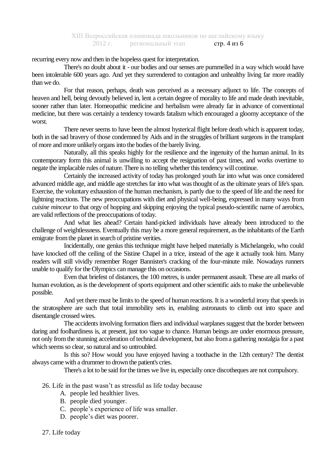#### XIII Всероссийская олимпиада школьников по английскому языку 2012 г. региональный этап стр. 4 из 6

#### recurring every now and then in the hopeless quest for interpretation.

There's no doubt about it - our bodies and our senses are pummelled in a way which would have been intolerable 600 years ago. And yet they surrendered to contagion and unhealthy living far more readily than we do.

For that reason, perhaps, death was perceived as a necessary adjunct to life. The concepts of heaven and hell, being devoutly believed in, lent a certain degree of morality to life and made death inevitable, sooner rather than later. Homeopathic medicine and herbalism were already far in advance of conventional medicine, but there was certainly a tendency towards fatalism which encouraged a gloomy acceptance of the worst.

There never seems to have been the almost hysterical flight before death which is apparent today, both in the sad bravery of those condemned by Aids and in the struggles of brilliant surgeons in the transplant of more and more unlikely organs into the bodies of the barely living.

Naturally, all this speaks highly for the resilience and the ingenuity of the human animal. In its contemporary form this animal is unwilling to accept the resignation of past times, and works overtime to negate the implacable rules of nature. There is no telling whether this tendency will continue.

Certainly the increased activity of today has prolonged youth far into what was once considered advanced middle age, and middle age stretches far into what was thought of as the ultimate years of life's span. Exercise, the voluntary exhaustion of the human mechanism, is partly due to the speed of life and the need for lightning reactions. The new preoccupations with diet and physical well-being, expressed in many ways from *cuisine minceur* to that orgy of hopping and skipping enjoying the typical pseudo-scientific name of aerobics, are valid reflections of the preoccupations of today.

And what lies ahead? Certain hand-picked individuals have already been introduced to the challenge of weightlessness. Eventually this may be a more general requirement, as the inhabitants of the Earth emigrate from the planet in search of pristine verities.

Incidentally, one genius this technique might have helped materially is Michelangelo, who could have knocked off the ceiling of the Sistine Chapel in a trice, instead of the age it actually took him. Many readers will still vividly remember Roger Bannister's cracking of the four-minute mile. Nowadays runners unable to qualify for the Olympics can manage this on occasions.

Even that briefest of distances, the 100 metres, is under permanent assault. These are all marks of human evolution, as is the development of sports equipment and other scientific aids to make the unbelievable possible.

And yet there must be limits to the speed of human reactions. It is a wonderful irony that speeds in the stratosphere are such that total immobility sets in, enabling astronauts to climb out into space and disentangle crossed wires.

The accidents involving formation fliers and individual warplanes suggest that the border between daring and foolhardiness is, at present, just too vague to chance. Human beings are under enormous pressure, not only from the stunning acceleration of technical development, but also from a gathering nostalgia for a past which seems so clear, so natural and so untroubled.

Is this so? How would you have enjoyed having a toothache in the 12th century? The dentist always came with a drummer to drown the patient's cries.

There's a lot to be said for the times we live in, especially once discotheques are not compulsory.

### 26. Life in the past wasn't as stressful as life today because

- A. people led healthier lives.
- B. people died younger.
- C. people's experience of life was smaller.
- D. people's diet was poorer.

#### 27. Life today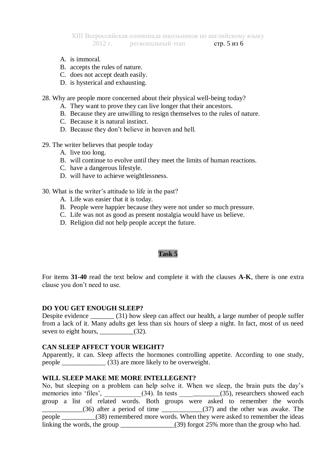XIII Всероссийская олимпиада школьников по английскому языку 2012 г. региональный этап стр. 5 из 6

- A. is immoral.
- B. accepts the rules of nature.
- C. does not accept death easily.
- D. is hysterical and exhausting.
- 28. Why are people more concerned about their physical well-being today?
	- A. They want to prove they can live longer that their ancestors.
	- B. Because they are unwilling to resign themselves to the rules of nature.
	- C. Because it is natural instinct.
	- D. Because they don't believe in heaven and hell.
- 29. The writer believes that people today
	- A. live too long.
	- B. will continue to evolve until they meet the limits of human reactions.
	- C. have a dangerous lifestyle.
	- D. will have to achieve weightlessness.

#### 30. What is the writer's attitude to life in the past?

- A. Life was easier that it is today.
- B. People were happier because they were not under so much pressure.
- C. Life was not as good as present nostalgia would have us believe.
- D. Religion did not help people accept the future.

### **Task 5**

For items **31-40** read the text below and complete it with the clauses **A-K**, there is one extra clause you don't need to use.

#### **DO YOU GET ENOUGH SLEEP?**

Despite evidence \_\_\_\_\_\_\_ (31) how sleep can affect our health, a large number of people suffer from a lack of it. Many adults get less than six hours of sleep a night. In fact, most of us need seven to eight hours, (32).

#### **CAN SLEEP AFFECT YOUR WEIGHT?**

Apparently, it can. Sleep affects the hormones controlling appetite. According to one study, people (33) are more likely to be overweight.

#### **WILL SLEEP MAKE ME MORE INTELLEGENT?**

No, but sleeping on a problem can help solve it. When we sleep, the brain puts the day's memories into 'files', \_\_\_\_\_\_\_\_\_(34). In tests \_\_\_\_\_\_\_\_\_(35), researchers showed each group a list of related words. Both groups were asked to remember the words \_\_\_\_\_\_\_\_\_\_\_\_(36) after a period of time \_\_\_\_\_\_\_\_\_\_\_\_(37) and the other was awake. The people \_\_\_\_\_\_\_\_\_\_(38) remembered more words. When they were asked to remember the ideas linking the words, the group \_\_\_\_\_\_\_\_\_\_\_\_\_\_\_\_(39) forgot 25% more than the group who had.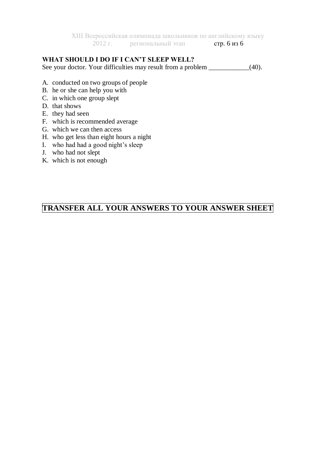XIII Всероссийская олимпиада школьников по английскому языку 2012 г. региональный этап стр. 6 из 6

# **WHAT SHOULD I DO IF I CAN'T SLEEP WELL?**

See your doctor. Your difficulties may result from a problem \_\_\_\_\_\_\_\_\_\_\_\_\_(40).

- A. conducted on two groups of people
- B. he or she can help you with
- C. in which one group slept
- D. that shows
- E. they had seen
- F. which is recommended average
- G. which we can then access
- H. who get less than eight hours a night
- I. who had had a good night's sleep
- J. who had not slept
- K. which is not enough

# **TRANSFER ALL YOUR ANSWERS TO YOUR ANSWER SHEET**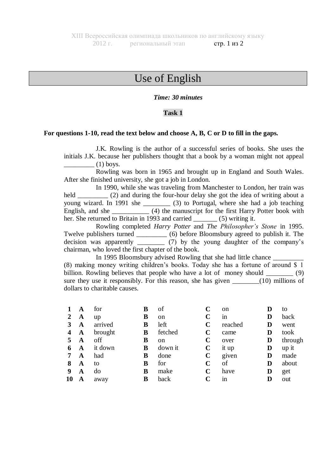# Use of English

# *Time: 30 minutes*

#### **Task 1**

#### **For questions 1-10, read the text below and choose A, B, C or D to fill in the gaps.**

J.K. Rowling is the author of a successful series of books. She uses the initials J.K. because her publishers thought that a book by a woman might not appeal  $(1)$  boys.

Rowling was born in 1965 and brought up in England and South Wales. After she finished university, she got a job in London.

In 1990, while she was traveling from Manchester to London, her train was held (2) and during the four-hour delay she got the idea of writing about a young wizard. In 1991 she \_\_\_\_\_\_\_\_ (3) to Portugal, where she had a job teaching English, and she \_\_\_\_\_\_\_\_\_\_ (4) the manuscript for the first Harry Potter book with her. She returned to Britain in 1993 and carried \_\_\_\_\_\_\_ (5) writing it.

Rowling completed *Harry Potter* and *The Philosopher's Stone* in 1995. Twelve publishers turned \_\_\_\_\_\_\_\_\_ (6) before Bloomsbury agreed to publish it. The decision was apparently \_\_\_\_\_\_\_\_ (7) by the young daughter of the company's chairman, who loved the first chapter of the book.

In 1995 Bloomsbury advised Rowling that she had little chance (8) making money writing children's books. Today she has a fortune of around \$ 1 billion. Rowling believes that people who have a lot of money should  $(9)$ sure they use it responsibly. For this reason, she has given  $(10)$  millions of dollars to charitable causes.

|    | A | for     | В | of            |             | <sub>on</sub> | D | to      |
|----|---|---------|---|---------------|-------------|---------------|---|---------|
|    | A | up      | B | on            | C           | in            | D | back    |
|    | A | arrived | B | left          | C           | reached       | D | went    |
|    | A | brought | B | fetched       | C           | came          | D | took    |
|    | A | off     | B | <sub>on</sub> | $\mathbf C$ | over          | D | through |
| 6  | A | it down | B | down it       | $\mathbf C$ | it up         | D | up it   |
|    | A | had     | B | done          | $\mathbf C$ | given         | D | made    |
| 8  | A | to      | B | for           | C           | of            | D | about   |
| 9  | A | do      | B | make          | C           | have          | D | get     |
| 10 |   | away    | B | back          | C           | in            | D | out     |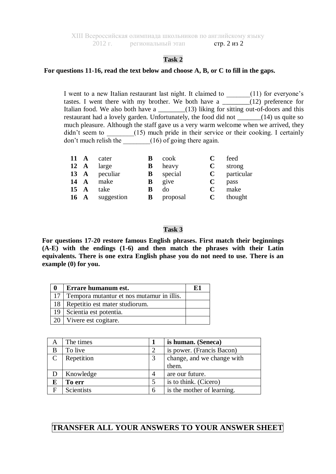# XIII Всероссийская олимпиада школьников по английскому языку 2012 г. региональный этап стр. 2 из 2

# **Task 2**

#### **For questions 11-16, read the text below and choose A, B, or C to fill in the gaps.**

I went to a new Italian restaurant last night. It claimed to \_\_\_\_\_\_\_(11) for everyone's tastes. I went there with my brother. We both have a  $\qquad$  (12) preference for Italian food. We also both have a  $\qquad$  (13) liking for sitting out-of-doors and this restaurant had a lovely garden. Unfortunately, the food did not \_\_\_\_\_\_\_(14) us quite so much pleasure. Although the staff gave us a very warm welcome when we arrived, they didn't seem to \_\_\_\_\_\_\_(15) much pride in their service or their cooking. I certainly don't much relish the \_\_\_\_\_\_\_(16) of going there again.

| 11             | A              | cater      | в | cook     | C           | feed       |
|----------------|----------------|------------|---|----------|-------------|------------|
| $12 \text{ A}$ |                | large      | B | heavy    | $\mathbf C$ | strong     |
|                | $13 \text{ A}$ | peculiar   | B | special  | $\mathbf C$ | particular |
| 14             | $\mathbf{A}$   | make       | B | give     | $\mathbf C$ | pass       |
| 15             | A              | take       | B | do       | C           | make       |
|                | 16 A           | suggestion | B | proposal | $\mathbf C$ | thought    |

## **Task 3**

**For questions 17-20 restore famous English phrases. First match their beginnings (A-E) with the endings (1-6) and then match the phrases with their Latin equivalents. There is one extra English phase you do not need to use. There is an example (0) for you.**

|                 | Errare humanum est.                       | К1 |
|-----------------|-------------------------------------------|----|
| 17              | Tempora mutantur et nos mutamur in illis. |    |
| 18              | Repetitio est mater studiorum.            |    |
| 19              | Scientia est potentia.                    |    |
| 20 <sup>1</sup> | Vivere est cogitare.                      |    |

|   | The times         |                | is human. (Seneca)         |
|---|-------------------|----------------|----------------------------|
| B | To live           | $\overline{2}$ | is power. (Francis Bacon)  |
|   | Repetition        | 3              | change, and we change with |
|   |                   |                | them.                      |
| D | Knowledge         | $\overline{4}$ | are our future.            |
| E | To err            |                | is to think. (Cicero)      |
| F | <b>Scientists</b> | 6              | is the mother of learning. |

# **TRANSFER ALL YOUR ANSWERS TO YOUR ANSWER SHEET**